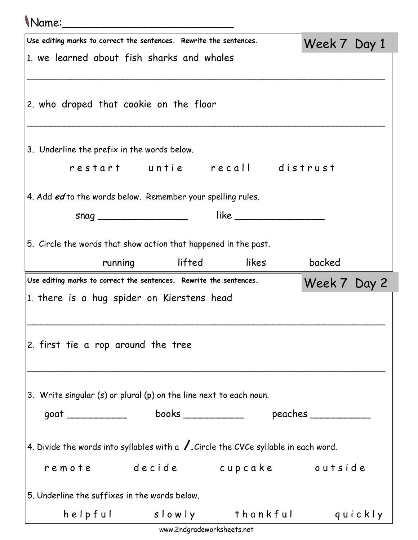## Name:\_\_\_\_\_\_\_\_\_\_\_\_\_\_\_\_\_\_\_\_\_\_\_\_\_

|                                                                                                            | Use editing marks to correct the sentences. Rewrite the sentences.                             |  |  | Week 7 Day 1 |  |  |  |
|------------------------------------------------------------------------------------------------------------|------------------------------------------------------------------------------------------------|--|--|--------------|--|--|--|
|                                                                                                            | 1. we learned about fish sharks and whales                                                     |  |  |              |  |  |  |
|                                                                                                            |                                                                                                |  |  |              |  |  |  |
| 2. who droped that cookie on the floor                                                                     |                                                                                                |  |  |              |  |  |  |
|                                                                                                            |                                                                                                |  |  |              |  |  |  |
|                                                                                                            | 3. Underline the prefix in the words below.                                                    |  |  |              |  |  |  |
|                                                                                                            | restart untie recall distrust                                                                  |  |  |              |  |  |  |
|                                                                                                            | 4. Add ed to the words below. Remember your spelling rules.                                    |  |  |              |  |  |  |
|                                                                                                            |                                                                                                |  |  |              |  |  |  |
|                                                                                                            | 5. Circle the words that show action that happened in the past.                                |  |  |              |  |  |  |
|                                                                                                            |                                                                                                |  |  | backed       |  |  |  |
| running lifted likes<br>Use editing marks to correct the sentences. Rewrite the sentences.<br>Week 7 Day 2 |                                                                                                |  |  |              |  |  |  |
|                                                                                                            |                                                                                                |  |  |              |  |  |  |
|                                                                                                            | 1. there is a hug spider on Kierstens head                                                     |  |  |              |  |  |  |
|                                                                                                            |                                                                                                |  |  |              |  |  |  |
|                                                                                                            | 2. first tie a rop around the tree                                                             |  |  |              |  |  |  |
|                                                                                                            |                                                                                                |  |  |              |  |  |  |
|                                                                                                            |                                                                                                |  |  |              |  |  |  |
|                                                                                                            | 3. Write singular (s) or plural (p) on the line next to each noun.                             |  |  |              |  |  |  |
|                                                                                                            |                                                                                                |  |  |              |  |  |  |
|                                                                                                            | 4. Divide the words into syllables with a $\sqrt{\ }$ . Circle the CVCe syllable in each word. |  |  |              |  |  |  |
|                                                                                                            | remote decide cupcake outside                                                                  |  |  |              |  |  |  |
|                                                                                                            | 5. Underline the suffixes in the words below.                                                  |  |  |              |  |  |  |

www.2ndgradeworksheets.net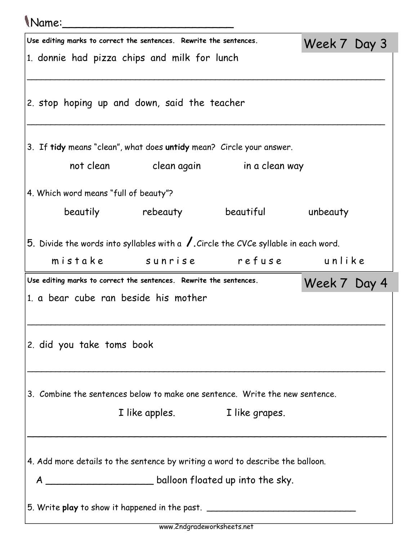## Name:\_\_\_\_\_\_\_\_\_\_\_\_\_\_\_\_\_\_\_\_\_\_\_\_\_

| Use editing marks to correct the sentences. Rewrite the sentences.<br>Week 7 Day 3 |                                                                                                |                               |              |  |  |  |  |
|------------------------------------------------------------------------------------|------------------------------------------------------------------------------------------------|-------------------------------|--------------|--|--|--|--|
| 1. donnie had pizza chips and milk for lunch                                       |                                                                                                |                               |              |  |  |  |  |
|                                                                                    |                                                                                                |                               |              |  |  |  |  |
|                                                                                    | 2. stop hoping up and down, said the teacher                                                   |                               |              |  |  |  |  |
|                                                                                    |                                                                                                |                               |              |  |  |  |  |
|                                                                                    |                                                                                                |                               |              |  |  |  |  |
|                                                                                    | 3. If tidy means "clean", what does untidy mean? Circle your answer.                           |                               |              |  |  |  |  |
|                                                                                    | not clean clean again in a clean way                                                           |                               |              |  |  |  |  |
| 4. Which word means "full of beauty"?                                              |                                                                                                |                               |              |  |  |  |  |
|                                                                                    | beautily rebeauty beautiful unbeauty                                                           |                               |              |  |  |  |  |
|                                                                                    |                                                                                                |                               |              |  |  |  |  |
|                                                                                    | 5. Divide the words into syllables with a $\sqrt{\ }$ . Circle the CVCe syllable in each word. |                               |              |  |  |  |  |
|                                                                                    | mistake sunrise refuse unlike                                                                  |                               |              |  |  |  |  |
|                                                                                    |                                                                                                |                               |              |  |  |  |  |
|                                                                                    | Use editing marks to correct the sentences. Rewrite the sentences.                             |                               |              |  |  |  |  |
|                                                                                    | 1. a bear cube ran beside his mother                                                           |                               | Week 7 Day 4 |  |  |  |  |
|                                                                                    |                                                                                                |                               |              |  |  |  |  |
|                                                                                    |                                                                                                |                               |              |  |  |  |  |
| 2. did you take toms book                                                          |                                                                                                |                               |              |  |  |  |  |
|                                                                                    |                                                                                                |                               |              |  |  |  |  |
|                                                                                    |                                                                                                |                               |              |  |  |  |  |
|                                                                                    | 3. Combine the sentences below to make one sentence. Write the new sentence.                   |                               |              |  |  |  |  |
|                                                                                    |                                                                                                | I like apples. I like grapes. |              |  |  |  |  |
|                                                                                    |                                                                                                |                               |              |  |  |  |  |
|                                                                                    | 4. Add more details to the sentence by writing a word to describe the balloon.                 |                               |              |  |  |  |  |
|                                                                                    |                                                                                                |                               |              |  |  |  |  |
|                                                                                    |                                                                                                |                               |              |  |  |  |  |
|                                                                                    | 5. Write play to show it happened in the past. _________________________________               |                               |              |  |  |  |  |